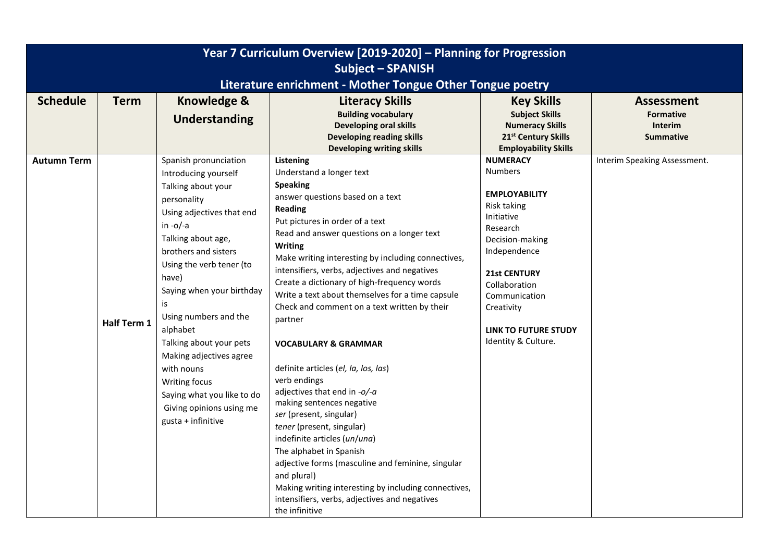| Year 7 Curriculum Overview [2019-2020] - Planning for Progression |                    |                                                                                                                                                                                                                                                                                                                                                                                                                                                               |                                                                                                                                                                                                                                                                                                                                                                                                                                                                                                                                                                                                                                                                                                                                                                                                                                                                                        |                                                                                                                                                                                                                                                                    |                                    |  |
|-------------------------------------------------------------------|--------------------|---------------------------------------------------------------------------------------------------------------------------------------------------------------------------------------------------------------------------------------------------------------------------------------------------------------------------------------------------------------------------------------------------------------------------------------------------------------|----------------------------------------------------------------------------------------------------------------------------------------------------------------------------------------------------------------------------------------------------------------------------------------------------------------------------------------------------------------------------------------------------------------------------------------------------------------------------------------------------------------------------------------------------------------------------------------------------------------------------------------------------------------------------------------------------------------------------------------------------------------------------------------------------------------------------------------------------------------------------------------|--------------------------------------------------------------------------------------------------------------------------------------------------------------------------------------------------------------------------------------------------------------------|------------------------------------|--|
| <b>Subject - SPANISH</b>                                          |                    |                                                                                                                                                                                                                                                                                                                                                                                                                                                               |                                                                                                                                                                                                                                                                                                                                                                                                                                                                                                                                                                                                                                                                                                                                                                                                                                                                                        |                                                                                                                                                                                                                                                                    |                                    |  |
| Literature enrichment - Mother Tongue Other Tongue poetry         |                    |                                                                                                                                                                                                                                                                                                                                                                                                                                                               |                                                                                                                                                                                                                                                                                                                                                                                                                                                                                                                                                                                                                                                                                                                                                                                                                                                                                        |                                                                                                                                                                                                                                                                    |                                    |  |
| <b>Schedule</b>                                                   | <b>Term</b>        | <b>Knowledge &amp;</b>                                                                                                                                                                                                                                                                                                                                                                                                                                        | <b>Literacy Skills</b>                                                                                                                                                                                                                                                                                                                                                                                                                                                                                                                                                                                                                                                                                                                                                                                                                                                                 | <b>Key Skills</b>                                                                                                                                                                                                                                                  | <b>Assessment</b>                  |  |
|                                                                   |                    | Understanding                                                                                                                                                                                                                                                                                                                                                                                                                                                 | <b>Building vocabulary</b>                                                                                                                                                                                                                                                                                                                                                                                                                                                                                                                                                                                                                                                                                                                                                                                                                                                             | <b>Subject Skills</b>                                                                                                                                                                                                                                              | <b>Formative</b>                   |  |
|                                                                   |                    |                                                                                                                                                                                                                                                                                                                                                                                                                                                               | <b>Developing oral skills</b><br><b>Developing reading skills</b>                                                                                                                                                                                                                                                                                                                                                                                                                                                                                                                                                                                                                                                                                                                                                                                                                      | <b>Numeracy Skills</b><br>21 <sup>st</sup> Century Skills                                                                                                                                                                                                          | <b>Interim</b><br><b>Summative</b> |  |
|                                                                   |                    |                                                                                                                                                                                                                                                                                                                                                                                                                                                               | <b>Developing writing skills</b>                                                                                                                                                                                                                                                                                                                                                                                                                                                                                                                                                                                                                                                                                                                                                                                                                                                       | <b>Employability Skills</b>                                                                                                                                                                                                                                        |                                    |  |
| <b>Autumn Term</b>                                                | <b>Half Term 1</b> | Spanish pronunciation<br>Introducing yourself<br>Talking about your<br>personality<br>Using adjectives that end<br>in $-o/-a$<br>Talking about age,<br>brothers and sisters<br>Using the verb tener (to<br>have)<br>Saying when your birthday<br>is<br>Using numbers and the<br>alphabet<br>Talking about your pets<br>Making adjectives agree<br>with nouns<br>Writing focus<br>Saying what you like to do<br>Giving opinions using me<br>gusta + infinitive | Listening<br>Understand a longer text<br><b>Speaking</b><br>answer questions based on a text<br>Reading<br>Put pictures in order of a text<br>Read and answer questions on a longer text<br><b>Writing</b><br>Make writing interesting by including connectives,<br>intensifiers, verbs, adjectives and negatives<br>Create a dictionary of high-frequency words<br>Write a text about themselves for a time capsule<br>Check and comment on a text written by their<br>partner<br><b>VOCABULARY &amp; GRAMMAR</b><br>definite articles (el, la, los, las)<br>verb endings<br>adjectives that end in -o/-a<br>making sentences negative<br>ser (present, singular)<br>tener (present, singular)<br>indefinite articles (un/una)<br>The alphabet in Spanish<br>adjective forms (masculine and feminine, singular<br>and plural)<br>Making writing interesting by including connectives, | <b>NUMERACY</b><br><b>Numbers</b><br><b>EMPLOYABILITY</b><br>Risk taking<br>Initiative<br>Research<br>Decision-making<br>Independence<br><b>21st CENTURY</b><br>Collaboration<br>Communication<br>Creativity<br><b>LINK TO FUTURE STUDY</b><br>Identity & Culture. | Interim Speaking Assessment.       |  |
|                                                                   |                    |                                                                                                                                                                                                                                                                                                                                                                                                                                                               | intensifiers, verbs, adjectives and negatives<br>the infinitive                                                                                                                                                                                                                                                                                                                                                                                                                                                                                                                                                                                                                                                                                                                                                                                                                        |                                                                                                                                                                                                                                                                    |                                    |  |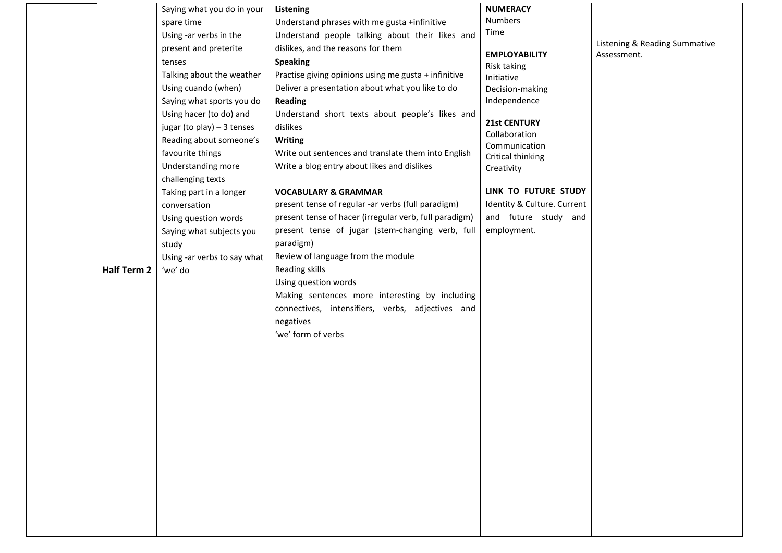|                    | Saying what you do in your  | Listening                                              | <b>NUMERACY</b>               |                               |
|--------------------|-----------------------------|--------------------------------------------------------|-------------------------------|-------------------------------|
|                    | spare time                  | Understand phrases with me gusta +infinitive           | Numbers                       |                               |
|                    | Using -ar verbs in the      | Understand people talking about their likes and        | Time                          | Listening & Reading Summative |
|                    | present and preterite       | dislikes, and the reasons for them                     | <b>EMPLOYABILITY</b>          | Assessment.                   |
|                    | tenses                      | <b>Speaking</b>                                        | Risk taking                   |                               |
|                    | Talking about the weather   | Practise giving opinions using me gusta + infinitive   | Initiative                    |                               |
|                    | Using cuando (when)         | Deliver a presentation about what you like to do       | Decision-making               |                               |
|                    | Saying what sports you do   | <b>Reading</b>                                         | Independence                  |                               |
|                    | Using hacer (to do) and     | Understand short texts about people's likes and        |                               |                               |
|                    | jugar (to play) - 3 tenses  | dislikes                                               | 21st CENTURY<br>Collaboration |                               |
|                    | Reading about someone's     | <b>Writing</b>                                         | Communication                 |                               |
|                    | favourite things            | Write out sentences and translate them into English    | Critical thinking             |                               |
|                    | Understanding more          | Write a blog entry about likes and dislikes            | Creativity                    |                               |
|                    | challenging texts           |                                                        |                               |                               |
|                    | Taking part in a longer     | <b>VOCABULARY &amp; GRAMMAR</b>                        | LINK TO FUTURE STUDY          |                               |
|                    | conversation                | present tense of regular -ar verbs (full paradigm)     | Identity & Culture. Current   |                               |
|                    | Using question words        | present tense of hacer (irregular verb, full paradigm) | and future study and          |                               |
|                    | Saying what subjects you    | present tense of jugar (stem-changing verb, full       | employment.                   |                               |
|                    | study                       | paradigm)                                              |                               |                               |
|                    | Using -ar verbs to say what | Review of language from the module                     |                               |                               |
| <b>Half Term 2</b> | 'we' do                     | Reading skills                                         |                               |                               |
|                    |                             | Using question words                                   |                               |                               |
|                    |                             | Making sentences more interesting by including         |                               |                               |
|                    |                             | connectives, intensifiers, verbs, adjectives and       |                               |                               |
|                    |                             | negatives                                              |                               |                               |
|                    |                             | 'we' form of verbs                                     |                               |                               |
|                    |                             |                                                        |                               |                               |
|                    |                             |                                                        |                               |                               |
|                    |                             |                                                        |                               |                               |
|                    |                             |                                                        |                               |                               |
|                    |                             |                                                        |                               |                               |
|                    |                             |                                                        |                               |                               |
|                    |                             |                                                        |                               |                               |
|                    |                             |                                                        |                               |                               |
|                    |                             |                                                        |                               |                               |
|                    |                             |                                                        |                               |                               |
|                    |                             |                                                        |                               |                               |
|                    |                             |                                                        |                               |                               |
|                    |                             |                                                        |                               |                               |
|                    |                             |                                                        |                               |                               |
|                    |                             |                                                        |                               |                               |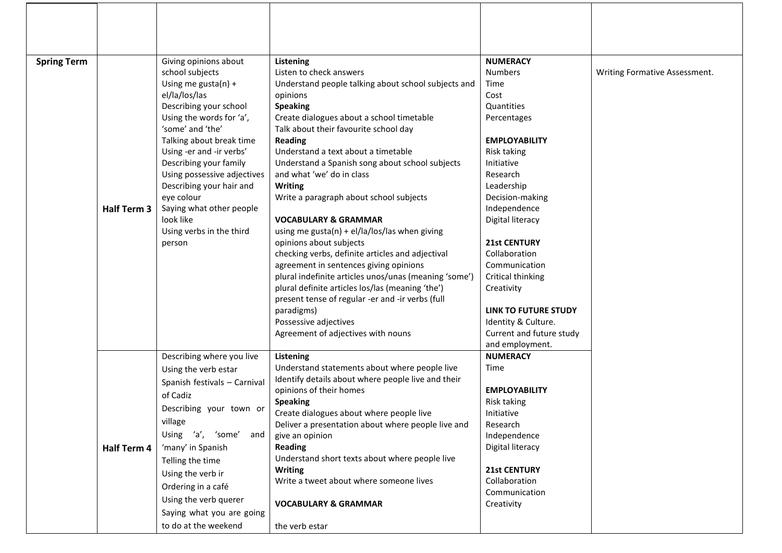| <b>Spring Term</b> |             | Giving opinions about                                | Listening                                                                                  | <b>NUMERACY</b>                            |                               |
|--------------------|-------------|------------------------------------------------------|--------------------------------------------------------------------------------------------|--------------------------------------------|-------------------------------|
|                    |             | school subjects                                      | Listen to check answers                                                                    | <b>Numbers</b>                             | Writing Formative Assessment. |
|                    |             | Using me gusta(n) +                                  | Understand people talking about school subjects and                                        | Time                                       |                               |
|                    |             | el/la/los/las                                        | opinions                                                                                   | Cost                                       |                               |
|                    |             | Describing your school                               | <b>Speaking</b>                                                                            | Quantities                                 |                               |
|                    |             | Using the words for 'a',                             | Create dialogues about a school timetable                                                  | Percentages                                |                               |
|                    |             | 'some' and 'the'                                     | Talk about their favourite school day                                                      |                                            |                               |
|                    |             | Talking about break time<br>Using -er and -ir verbs' | <b>Reading</b><br>Understand a text about a timetable                                      | <b>EMPLOYABILITY</b><br><b>Risk taking</b> |                               |
|                    |             | Describing your family                               | Understand a Spanish song about school subjects                                            | Initiative                                 |                               |
|                    |             | Using possessive adjectives                          | and what 'we' do in class                                                                  | Research                                   |                               |
|                    |             | Describing your hair and                             | Writing                                                                                    | Leadership                                 |                               |
|                    |             | eye colour                                           | Write a paragraph about school subjects                                                    | Decision-making                            |                               |
|                    | Half Term 3 | Saying what other people                             |                                                                                            | Independence                               |                               |
|                    |             | look like                                            | <b>VOCABULARY &amp; GRAMMAR</b>                                                            | Digital literacy                           |                               |
|                    |             | Using verbs in the third                             | using me gusta(n) + $el/la/los/las$ when giving                                            |                                            |                               |
|                    |             | person                                               | opinions about subjects                                                                    | <b>21st CENTURY</b>                        |                               |
|                    |             |                                                      | checking verbs, definite articles and adjectival<br>agreement in sentences giving opinions | Collaboration<br>Communication             |                               |
|                    |             |                                                      | plural indefinite articles unos/unas (meaning 'some')                                      | Critical thinking                          |                               |
|                    |             |                                                      | plural definite articles los/las (meaning 'the')                                           | Creativity                                 |                               |
|                    |             |                                                      | present tense of regular -er and -ir verbs (full                                           |                                            |                               |
|                    |             |                                                      | paradigms)                                                                                 | <b>LINK TO FUTURE STUDY</b>                |                               |
|                    |             |                                                      | Possessive adjectives                                                                      | Identity & Culture.                        |                               |
|                    |             |                                                      | Agreement of adjectives with nouns                                                         | Current and future study                   |                               |
|                    |             |                                                      |                                                                                            | and employment.                            |                               |
|                    |             | Describing where you live                            | Listening<br>Understand statements about where people live                                 | <b>NUMERACY</b><br>Time                    |                               |
|                    |             | Using the verb estar                                 | Identify details about where people live and their                                         |                                            |                               |
|                    |             | Spanish festivals - Carnival                         | opinions of their homes                                                                    | <b>EMPLOYABILITY</b>                       |                               |
|                    |             | of Cadiz                                             | <b>Speaking</b>                                                                            | <b>Risk taking</b>                         |                               |
|                    |             | Describing your town or                              | Create dialogues about where people live                                                   | Initiative                                 |                               |
|                    |             | village                                              | Deliver a presentation about where people live and                                         | Research                                   |                               |
|                    |             | Using 'a', 'some'<br>and                             | give an opinion                                                                            | Independence                               |                               |
|                    | Half Term 4 | 'many' in Spanish                                    | <b>Reading</b>                                                                             | Digital literacy                           |                               |
|                    |             | Telling the time                                     | Understand short texts about where people live<br><b>Writing</b>                           | <b>21st CENTURY</b>                        |                               |
|                    |             | Using the verb ir                                    | Write a tweet about where someone lives                                                    | Collaboration                              |                               |
|                    |             | Ordering in a café                                   |                                                                                            | Communication                              |                               |
|                    |             | Using the verb querer                                | <b>VOCABULARY &amp; GRAMMAR</b>                                                            | Creativity                                 |                               |
|                    |             | Saying what you are going                            |                                                                                            |                                            |                               |
|                    |             | to do at the weekend                                 | the verb estar                                                                             |                                            |                               |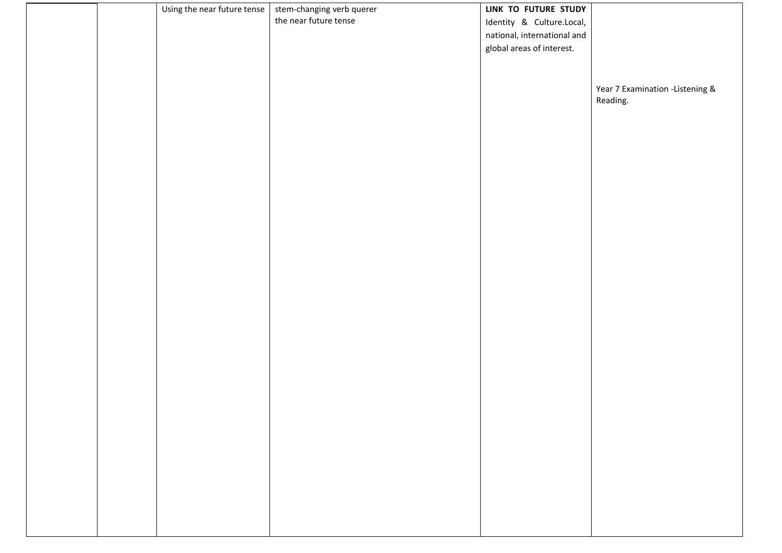|  | Using the near future tense | stem-changing verb querer | LINK TO FUTURE STUDY        |                                 |
|--|-----------------------------|---------------------------|-----------------------------|---------------------------------|
|  |                             | the near future tense     | Identity & Culture.Local,   |                                 |
|  |                             |                           | national, international and |                                 |
|  |                             |                           | global areas of interest.   |                                 |
|  |                             |                           |                             |                                 |
|  |                             |                           |                             |                                 |
|  |                             |                           |                             | Year 7 Examination -Listening & |
|  |                             |                           |                             | Reading.                        |
|  |                             |                           |                             |                                 |
|  |                             |                           |                             |                                 |
|  |                             |                           |                             |                                 |
|  |                             |                           |                             |                                 |
|  |                             |                           |                             |                                 |
|  |                             |                           |                             |                                 |
|  |                             |                           |                             |                                 |
|  |                             |                           |                             |                                 |
|  |                             |                           |                             |                                 |
|  |                             |                           |                             |                                 |
|  |                             |                           |                             |                                 |
|  |                             |                           |                             |                                 |
|  |                             |                           |                             |                                 |
|  |                             |                           |                             |                                 |
|  |                             |                           |                             |                                 |
|  |                             |                           |                             |                                 |
|  |                             |                           |                             |                                 |
|  |                             |                           |                             |                                 |
|  |                             |                           |                             |                                 |
|  |                             |                           |                             |                                 |
|  |                             |                           |                             |                                 |
|  |                             |                           |                             |                                 |
|  |                             |                           |                             |                                 |
|  |                             |                           |                             |                                 |
|  |                             |                           |                             |                                 |
|  |                             |                           |                             |                                 |
|  |                             |                           |                             |                                 |
|  |                             |                           |                             |                                 |
|  |                             |                           |                             |                                 |
|  |                             |                           |                             |                                 |
|  |                             |                           |                             |                                 |
|  |                             |                           |                             |                                 |
|  |                             |                           |                             |                                 |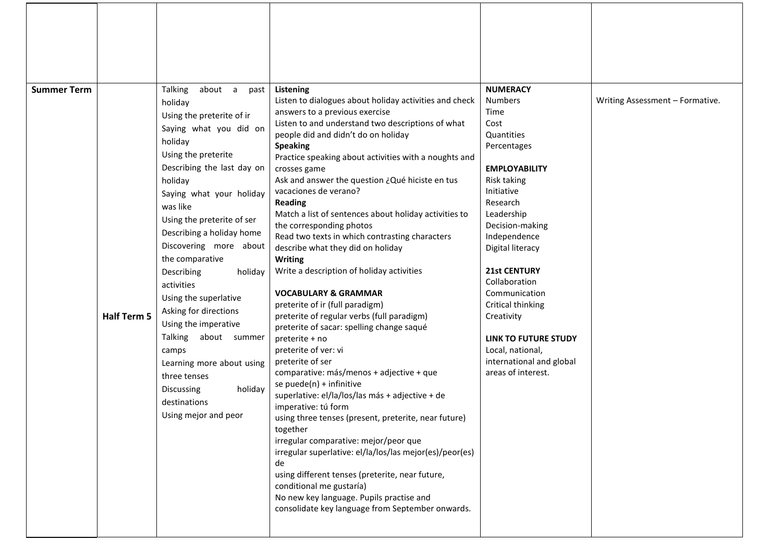| <b>Summer Term</b> | <b>Half Term 5</b> | <b>Talking</b><br>about a<br>past<br>holiday<br>Using the preterite of ir<br>Saying what you did on<br>holiday<br>Using the preterite<br>Describing the last day on<br>holiday<br>Saying what your holiday<br>was like<br>Using the preterite of ser<br>Describing a holiday home<br>Discovering more about<br>the comparative<br>Describing<br>holiday<br>activities<br>Using the superlative<br>Asking for directions<br>Using the imperative<br>Talking<br>about summer<br>camps<br>Learning more about using<br>three tenses<br>holiday<br>Discussing | Listening<br>Listen to dialogues about holiday activities and check<br>answers to a previous exercise<br>Listen to and understand two descriptions of what<br>people did and didn't do on holiday<br><b>Speaking</b><br>Practice speaking about activities with a noughts and<br>crosses game<br>Ask and answer the question ¿Qué hiciste en tus<br>vacaciones de verano?<br><b>Reading</b><br>Match a list of sentences about holiday activities to<br>the corresponding photos<br>Read two texts in which contrasting characters<br>describe what they did on holiday<br><b>Writing</b><br>Write a description of holiday activities<br><b>VOCABULARY &amp; GRAMMAR</b><br>preterite of ir (full paradigm)<br>preterite of regular verbs (full paradigm)<br>preterite of sacar: spelling change saqué<br>preterite + no<br>preterite of ver: vi<br>preterite of ser<br>comparative: más/menos + adjective + que<br>se puede(n) + infinitive<br>superlative: el/la/los/las más + adjective + de | <b>NUMERACY</b><br><b>Numbers</b><br>Time<br>Cost<br>Quantities<br>Percentages<br><b>EMPLOYABILITY</b><br>Risk taking<br>Initiative<br>Research<br>Leadership<br>Decision-making<br>Independence<br>Digital literacy<br><b>21st CENTURY</b><br>Collaboration<br>Communication<br>Critical thinking<br>Creativity<br><b>LINK TO FUTURE STUDY</b><br>Local, national,<br>international and global<br>areas of interest. | Writing Assessment - Formative. |
|--------------------|--------------------|-----------------------------------------------------------------------------------------------------------------------------------------------------------------------------------------------------------------------------------------------------------------------------------------------------------------------------------------------------------------------------------------------------------------------------------------------------------------------------------------------------------------------------------------------------------|--------------------------------------------------------------------------------------------------------------------------------------------------------------------------------------------------------------------------------------------------------------------------------------------------------------------------------------------------------------------------------------------------------------------------------------------------------------------------------------------------------------------------------------------------------------------------------------------------------------------------------------------------------------------------------------------------------------------------------------------------------------------------------------------------------------------------------------------------------------------------------------------------------------------------------------------------------------------------------------------------|-----------------------------------------------------------------------------------------------------------------------------------------------------------------------------------------------------------------------------------------------------------------------------------------------------------------------------------------------------------------------------------------------------------------------|---------------------------------|
|                    |                    | destinations<br>Using mejor and peor                                                                                                                                                                                                                                                                                                                                                                                                                                                                                                                      | imperative: tú form<br>using three tenses (present, preterite, near future)<br>together<br>irregular comparative: mejor/peor que<br>irregular superlative: el/la/los/las mejor(es)/peor(es)<br>de<br>using different tenses (preterite, near future,<br>conditional me gustaría)<br>No new key language. Pupils practise and                                                                                                                                                                                                                                                                                                                                                                                                                                                                                                                                                                                                                                                                     |                                                                                                                                                                                                                                                                                                                                                                                                                       |                                 |
|                    |                    |                                                                                                                                                                                                                                                                                                                                                                                                                                                                                                                                                           | consolidate key language from September onwards.                                                                                                                                                                                                                                                                                                                                                                                                                                                                                                                                                                                                                                                                                                                                                                                                                                                                                                                                                 |                                                                                                                                                                                                                                                                                                                                                                                                                       |                                 |